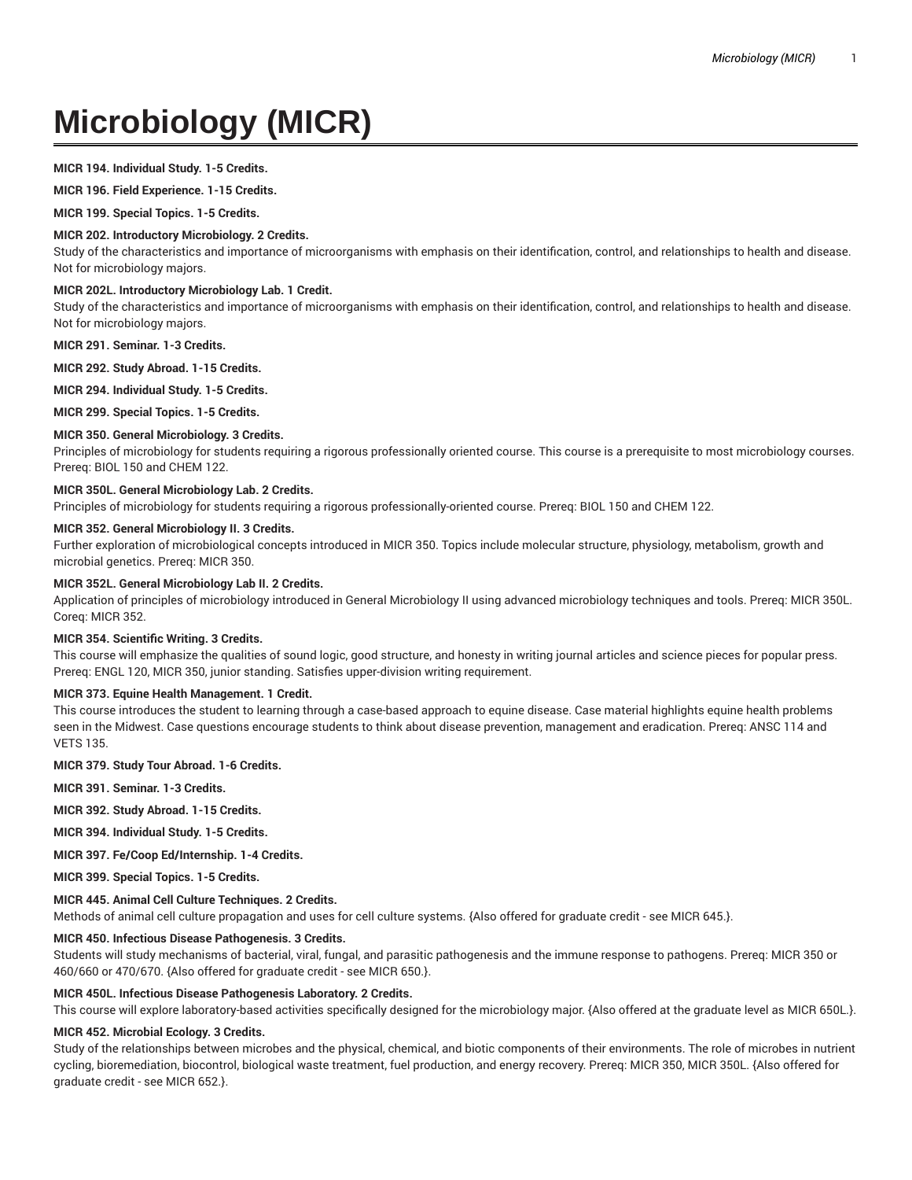# **Microbiology (MICR)**

## **MICR 194. Individual Study. 1-5 Credits.**

**MICR 196. Field Experience. 1-15 Credits.**

**MICR 199. Special Topics. 1-5 Credits.**

## **MICR 202. Introductory Microbiology. 2 Credits.**

Study of the characteristics and importance of microorganisms with emphasis on their identification, control, and relationships to health and disease. Not for microbiology majors.

## **MICR 202L. Introductory Microbiology Lab. 1 Credit.**

Study of the characteristics and importance of microorganisms with emphasis on their identification, control, and relationships to health and disease. Not for microbiology majors.

**MICR 291. Seminar. 1-3 Credits.**

**MICR 292. Study Abroad. 1-15 Credits.**

**MICR 294. Individual Study. 1-5 Credits.**

**MICR 299. Special Topics. 1-5 Credits.**

# **MICR 350. General Microbiology. 3 Credits.**

Principles of microbiology for students requiring a rigorous professionally oriented course. This course is a prerequisite to most microbiology courses. Prereq: BIOL 150 and CHEM 122.

# **MICR 350L. General Microbiology Lab. 2 Credits.**

Principles of microbiology for students requiring a rigorous professionally-oriented course. Prereq: BIOL 150 and CHEM 122.

## **MICR 352. General Microbiology II. 3 Credits.**

Further exploration of microbiological concepts introduced in MICR 350. Topics include molecular structure, physiology, metabolism, growth and microbial genetics. Prereq: MICR 350.

## **MICR 352L. General Microbiology Lab II. 2 Credits.**

Application of principles of microbiology introduced in General Microbiology II using advanced microbiology techniques and tools. Prereq: MICR 350L. Coreq: MICR 352.

## **MICR 354. Scientific Writing. 3 Credits.**

This course will emphasize the qualities of sound logic, good structure, and honesty in writing journal articles and science pieces for popular press. Prereq: ENGL 120, MICR 350, junior standing. Satisfies upper-division writing requirement.

## **MICR 373. Equine Health Management. 1 Credit.**

This course introduces the student to learning through a case-based approach to equine disease. Case material highlights equine health problems seen in the Midwest. Case questions encourage students to think about disease prevention, management and eradication. Prereq: ANSC 114 and VETS 135.

## **MICR 379. Study Tour Abroad. 1-6 Credits.**

**MICR 391. Seminar. 1-3 Credits.**

**MICR 392. Study Abroad. 1-15 Credits.**

**MICR 394. Individual Study. 1-5 Credits.**

**MICR 397. Fe/Coop Ed/Internship. 1-4 Credits.**

**MICR 399. Special Topics. 1-5 Credits.**

## **MICR 445. Animal Cell Culture Techniques. 2 Credits.**

Methods of animal cell culture propagation and uses for cell culture systems. {Also offered for graduate credit - see MICR 645.}.

## **MICR 450. Infectious Disease Pathogenesis. 3 Credits.**

Students will study mechanisms of bacterial, viral, fungal, and parasitic pathogenesis and the immune response to pathogens. Prereq: MICR 350 or 460/660 or 470/670. {Also offered for graduate credit - see MICR 650.}.

## **MICR 450L. Infectious Disease Pathogenesis Laboratory. 2 Credits.**

This course will explore laboratory-based activities specifically designed for the microbiology major. {Also offered at the graduate level as MICR 650L.}.

## **MICR 452. Microbial Ecology. 3 Credits.**

Study of the relationships between microbes and the physical, chemical, and biotic components of their environments. The role of microbes in nutrient cycling, bioremediation, biocontrol, biological waste treatment, fuel production, and energy recovery. Prereq: MICR 350, MICR 350L. {Also offered for graduate credit - see MICR 652.}.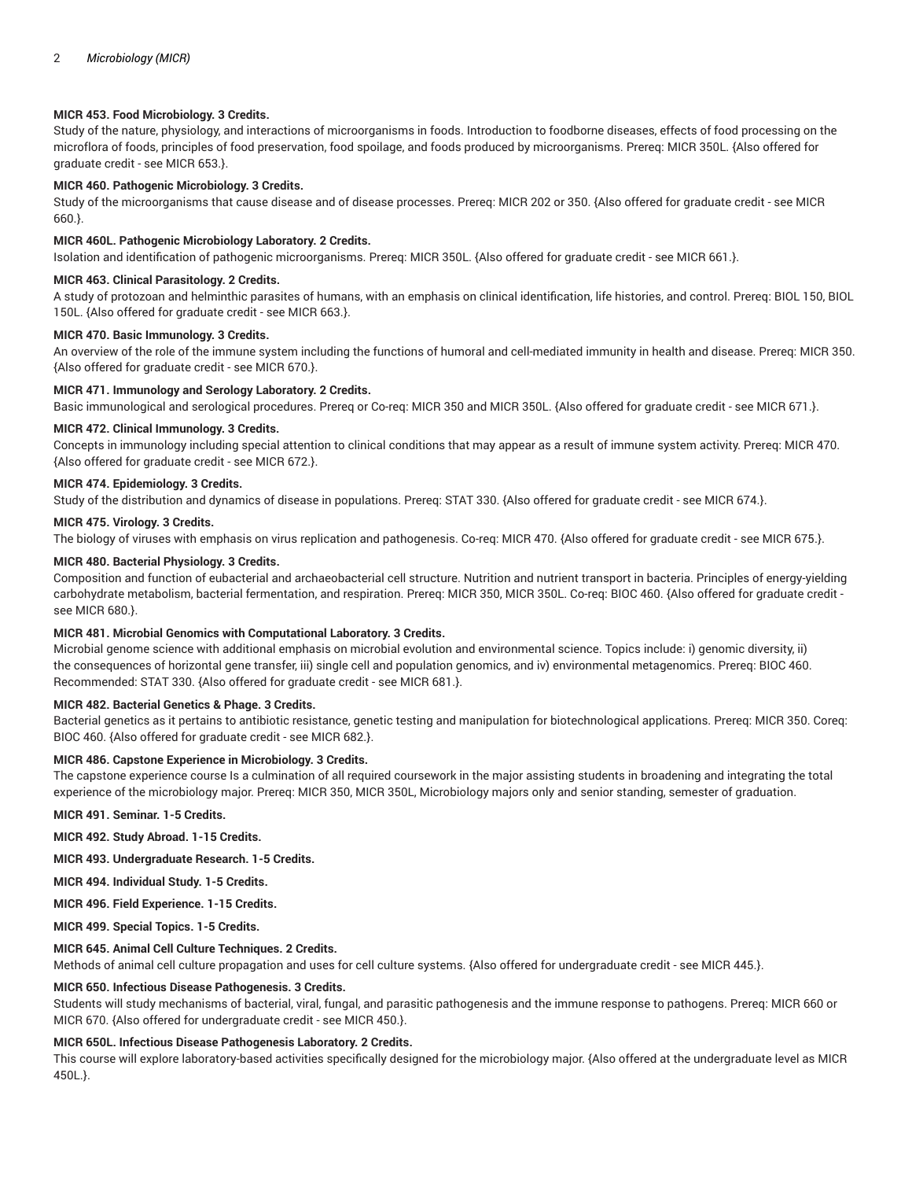## **MICR 453. Food Microbiology. 3 Credits.**

Study of the nature, physiology, and interactions of microorganisms in foods. Introduction to foodborne diseases, effects of food processing on the microflora of foods, principles of food preservation, food spoilage, and foods produced by microorganisms. Prereq: MICR 350L. {Also offered for graduate credit - see MICR 653.}.

## **MICR 460. Pathogenic Microbiology. 3 Credits.**

Study of the microorganisms that cause disease and of disease processes. Prereq: MICR 202 or 350. {Also offered for graduate credit - see MICR 660.}.

## **MICR 460L. Pathogenic Microbiology Laboratory. 2 Credits.**

Isolation and identification of pathogenic microorganisms. Prereq: MICR 350L. {Also offered for graduate credit - see MICR 661.}.

## **MICR 463. Clinical Parasitology. 2 Credits.**

A study of protozoan and helminthic parasites of humans, with an emphasis on clinical identification, life histories, and control. Prereq: BIOL 150, BIOL 150L. {Also offered for graduate credit - see MICR 663.}.

# **MICR 470. Basic Immunology. 3 Credits.**

An overview of the role of the immune system including the functions of humoral and cell-mediated immunity in health and disease. Prereq: MICR 350. {Also offered for graduate credit - see MICR 670.}.

## **MICR 471. Immunology and Serology Laboratory. 2 Credits.**

Basic immunological and serological procedures. Prereq or Co-req: MICR 350 and MICR 350L. {Also offered for graduate credit - see MICR 671.}.

## **MICR 472. Clinical Immunology. 3 Credits.**

Concepts in immunology including special attention to clinical conditions that may appear as a result of immune system activity. Prereq: MICR 470. {Also offered for graduate credit - see MICR 672.}.

# **MICR 474. Epidemiology. 3 Credits.**

Study of the distribution and dynamics of disease in populations. Prereq: STAT 330. {Also offered for graduate credit - see MICR 674.}.

## **MICR 475. Virology. 3 Credits.**

The biology of viruses with emphasis on virus replication and pathogenesis. Co-req: MICR 470. {Also offered for graduate credit - see MICR 675.}.

# **MICR 480. Bacterial Physiology. 3 Credits.**

Composition and function of eubacterial and archaeobacterial cell structure. Nutrition and nutrient transport in bacteria. Principles of energy-yielding carbohydrate metabolism, bacterial fermentation, and respiration. Prereq: MICR 350, MICR 350L. Co-req: BIOC 460. {Also offered for graduate credit see MICR 680.}.

## **MICR 481. Microbial Genomics with Computational Laboratory. 3 Credits.**

Microbial genome science with additional emphasis on microbial evolution and environmental science. Topics include: i) genomic diversity, ii) the consequences of horizontal gene transfer, iii) single cell and population genomics, and iv) environmental metagenomics. Prereq: BIOC 460. Recommended: STAT 330. {Also offered for graduate credit - see MICR 681.}.

# **MICR 482. Bacterial Genetics & Phage. 3 Credits.**

Bacterial genetics as it pertains to antibiotic resistance, genetic testing and manipulation for biotechnological applications. Prereq: MICR 350. Coreq: BIOC 460. {Also offered for graduate credit - see MICR 682.}.

# **MICR 486. Capstone Experience in Microbiology. 3 Credits.**

The capstone experience course Is a culmination of all required coursework in the major assisting students in broadening and integrating the total experience of the microbiology major. Prereq: MICR 350, MICR 350L, Microbiology majors only and senior standing, semester of graduation.

**MICR 491. Seminar. 1-5 Credits.**

**MICR 492. Study Abroad. 1-15 Credits.**

**MICR 493. Undergraduate Research. 1-5 Credits.**

**MICR 494. Individual Study. 1-5 Credits.**

**MICR 496. Field Experience. 1-15 Credits.**

**MICR 499. Special Topics. 1-5 Credits.**

# **MICR 645. Animal Cell Culture Techniques. 2 Credits.**

Methods of animal cell culture propagation and uses for cell culture systems. {Also offered for undergraduate credit - see MICR 445.}.

# **MICR 650. Infectious Disease Pathogenesis. 3 Credits.**

Students will study mechanisms of bacterial, viral, fungal, and parasitic pathogenesis and the immune response to pathogens. Prereq: MICR 660 or MICR 670. {Also offered for undergraduate credit - see MICR 450.}.

## **MICR 650L. Infectious Disease Pathogenesis Laboratory. 2 Credits.**

This course will explore laboratory-based activities specifically designed for the microbiology major. {Also offered at the undergraduate level as MICR 450L.}.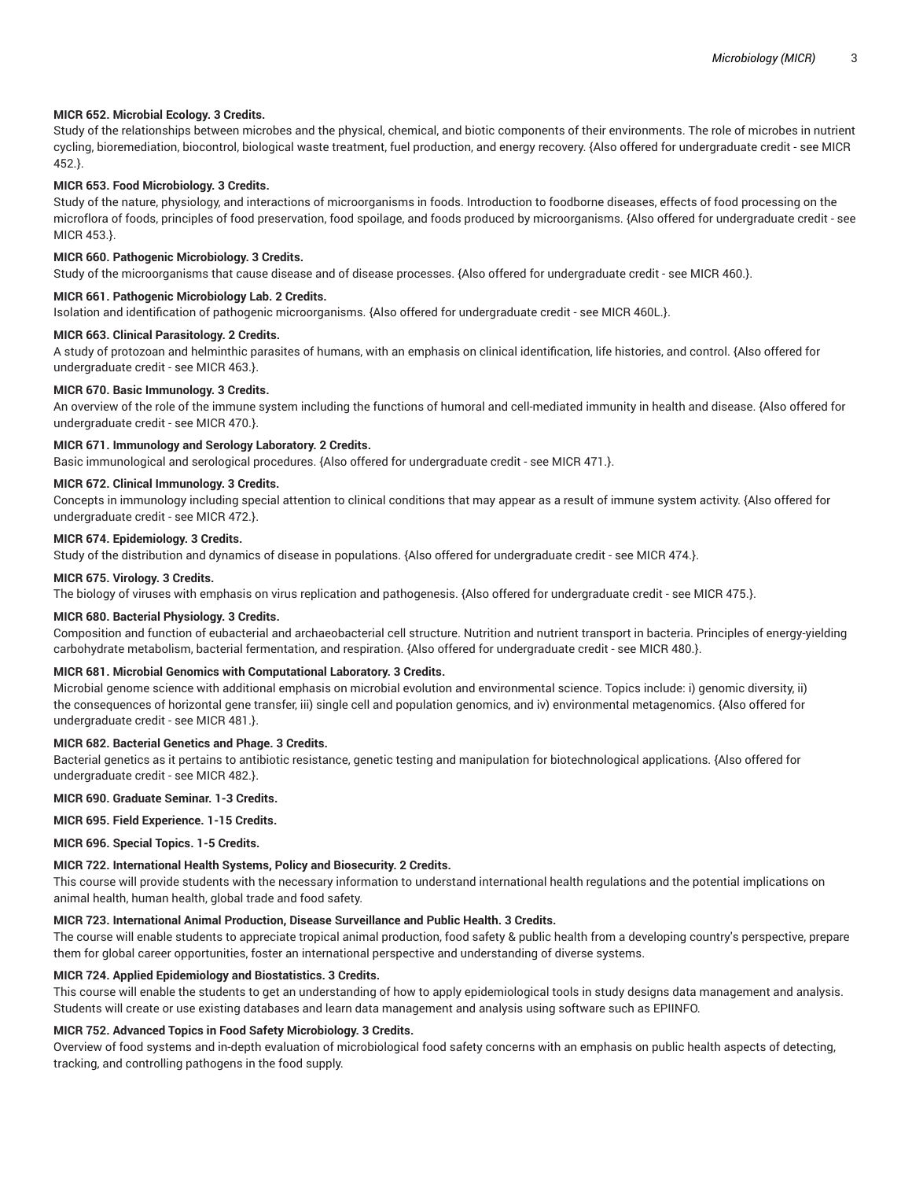#### **MICR 652. Microbial Ecology. 3 Credits.**

Study of the relationships between microbes and the physical, chemical, and biotic components of their environments. The role of microbes in nutrient cycling, bioremediation, biocontrol, biological waste treatment, fuel production, and energy recovery. {Also offered for undergraduate credit - see MICR 452.}.

#### **MICR 653. Food Microbiology. 3 Credits.**

Study of the nature, physiology, and interactions of microorganisms in foods. Introduction to foodborne diseases, effects of food processing on the microflora of foods, principles of food preservation, food spoilage, and foods produced by microorganisms. {Also offered for undergraduate credit - see MICR 453.}.

#### **MICR 660. Pathogenic Microbiology. 3 Credits.**

Study of the microorganisms that cause disease and of disease processes. {Also offered for undergraduate credit - see MICR 460.}.

#### **MICR 661. Pathogenic Microbiology Lab. 2 Credits.**

Isolation and identification of pathogenic microorganisms. {Also offered for undergraduate credit - see MICR 460L.}.

#### **MICR 663. Clinical Parasitology. 2 Credits.**

A study of protozoan and helminthic parasites of humans, with an emphasis on clinical identification, life histories, and control. {Also offered for undergraduate credit - see MICR 463.}.

#### **MICR 670. Basic Immunology. 3 Credits.**

An overview of the role of the immune system including the functions of humoral and cell-mediated immunity in health and disease. {Also offered for undergraduate credit - see MICR 470.}.

## **MICR 671. Immunology and Serology Laboratory. 2 Credits.**

Basic immunological and serological procedures. {Also offered for undergraduate credit - see MICR 471.}.

#### **MICR 672. Clinical Immunology. 3 Credits.**

Concepts in immunology including special attention to clinical conditions that may appear as a result of immune system activity. {Also offered for undergraduate credit - see MICR 472.}.

# **MICR 674. Epidemiology. 3 Credits.**

Study of the distribution and dynamics of disease in populations. {Also offered for undergraduate credit - see MICR 474.}.

# **MICR 675. Virology. 3 Credits.**

The biology of viruses with emphasis on virus replication and pathogenesis. {Also offered for undergraduate credit - see MICR 475.}.

#### **MICR 680. Bacterial Physiology. 3 Credits.**

Composition and function of eubacterial and archaeobacterial cell structure. Nutrition and nutrient transport in bacteria. Principles of energy-yielding carbohydrate metabolism, bacterial fermentation, and respiration. {Also offered for undergraduate credit - see MICR 480.}.

#### **MICR 681. Microbial Genomics with Computational Laboratory. 3 Credits.**

Microbial genome science with additional emphasis on microbial evolution and environmental science. Topics include: i) genomic diversity, ii) the consequences of horizontal gene transfer, iii) single cell and population genomics, and iv) environmental metagenomics. {Also offered for undergraduate credit - see MICR 481.}.

# **MICR 682. Bacterial Genetics and Phage. 3 Credits.**

Bacterial genetics as it pertains to antibiotic resistance, genetic testing and manipulation for biotechnological applications. {Also offered for undergraduate credit - see MICR 482.}.

#### **MICR 690. Graduate Seminar. 1-3 Credits.**

#### **MICR 695. Field Experience. 1-15 Credits.**

**MICR 696. Special Topics. 1-5 Credits.**

#### **MICR 722. International Health Systems, Policy and Biosecurity. 2 Credits.**

This course will provide students with the necessary information to understand international health regulations and the potential implications on animal health, human health, global trade and food safety.

#### **MICR 723. International Animal Production, Disease Surveillance and Public Health. 3 Credits.**

The course will enable students to appreciate tropical animal production, food safety & public health from a developing country's perspective, prepare them for global career opportunities, foster an international perspective and understanding of diverse systems.

#### **MICR 724. Applied Epidemiology and Biostatistics. 3 Credits.**

This course will enable the students to get an understanding of how to apply epidemiological tools in study designs data management and analysis. Students will create or use existing databases and learn data management and analysis using software such as EPIINFO.

# **MICR 752. Advanced Topics in Food Safety Microbiology. 3 Credits.**

Overview of food systems and in-depth evaluation of microbiological food safety concerns with an emphasis on public health aspects of detecting, tracking, and controlling pathogens in the food supply.